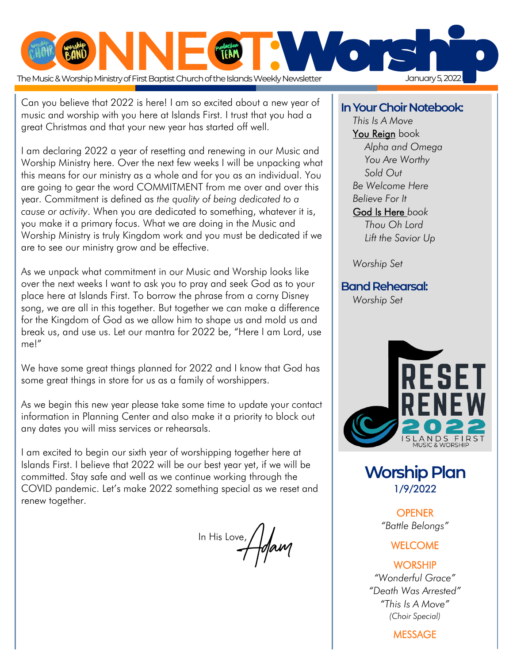

 Can you believe that 2022 is here! I am so excited about a new year of music and worship with you here at Islands First. I trust that you had a great Christmas and that your new year has started off well.

I am declaring 2022 a year of resetting and renewing in our Music and Worship Ministry here. Over the next few weeks I will be unpacking what this means for our ministry as a whole and for you as an individual. You are going to gear the word COMMITMENT from me over and over this year. Commitment is defined as *the quality of being dedicated to a cause or activity*. When you are dedicated to something, whatever it is, you make it a primary focus. What we are doing in the Music and Worship Ministry is truly Kingdom work and you must be dedicated if we are to see our ministry grow and be effective.

As we unpack what commitment in our Music and Worship looks like over the next weeks I want to ask you to pray and seek God as to your place here at Islands First. To borrow the phrase from a corny Disney song, we are all in this together. But together we can make a difference for the Kingdom of God as we allow him to shape us and mold us and break us, and use us. Let our mantra for 2022 be, "Here I am Lord, use me!"

We have some great things planned for 2022 and I know that God has some great things in store for us as a family of worshippers.

As we begin this new year please take some time to update your contact information in Planning Center and also make it a priority to block out any dates you will miss services or rehearsals.

I am excited to begin our sixth year of worshipping together here at Islands First. I believe that 2022 will be our best year yet, if we will be committed. Stay safe and well as we continue working through the COVID pandemic. Let's make 2022 something special as we reset and renew together.

In His Love, Adam

### **In Your Choir Notebook:**

*This Is A Move* You Reign book *Alpha and Omega You Are Worthy Sold Out Be Welcome Here Believe For It* God Is Here *book Thou Oh Lord Lift the Savior Up*

*Worship Set*

**Band Rehearsal:**

*Worship Set*



**Worship Plan**  1/9/2022

> **OPENER** *"Battle Belongs"*

### **WELCOME**

#### **WORSHIP**

*"Wonderful Grace" "Death Was Arrested" "This Is A Move" (Choir Special)*

MESSAGE